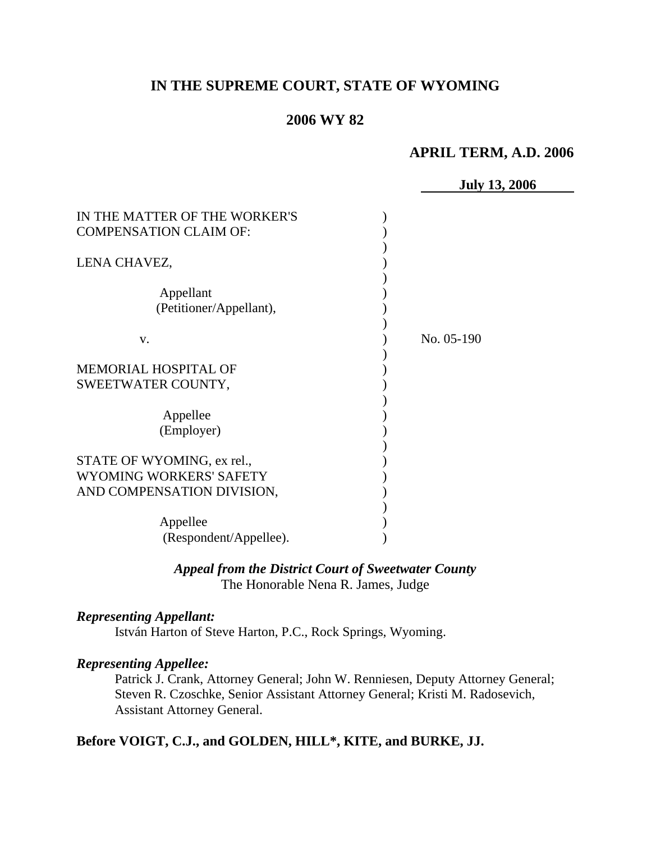# **IN THE SUPREME COURT, STATE OF WYOMING**

### **2006 WY 82**

### **APRIL TERM, A.D. 2006**

|                                                                                     | <b>July 13, 2006</b> |
|-------------------------------------------------------------------------------------|----------------------|
| IN THE MATTER OF THE WORKER'S<br><b>COMPENSATION CLAIM OF:</b>                      |                      |
| LENA CHAVEZ,                                                                        |                      |
| Appellant<br>(Petitioner/Appellant),                                                |                      |
| V.                                                                                  | No. 05-190           |
| MEMORIAL HOSPITAL OF<br>SWEETWATER COUNTY,                                          |                      |
| Appellee<br>(Employer)                                                              |                      |
| STATE OF WYOMING, ex rel.,<br>WYOMING WORKERS' SAFETY<br>AND COMPENSATION DIVISION, |                      |
| Appellee<br>(Respondent/Appellee).                                                  |                      |

# *Appeal from the District Court of Sweetwater County* The Honorable Nena R. James, Judge

### *Representing Appellant:*

István Harton of Steve Harton, P.C., Rock Springs, Wyoming.

### *Representing Appellee:*

Patrick J. Crank, Attorney General; John W. Renniesen, Deputy Attorney General; Steven R. Czoschke, Senior Assistant Attorney General; Kristi M. Radosevich, Assistant Attorney General.

# **Before VOIGT, C.J., and GOLDEN, HILL\*, KITE, and BURKE, JJ.**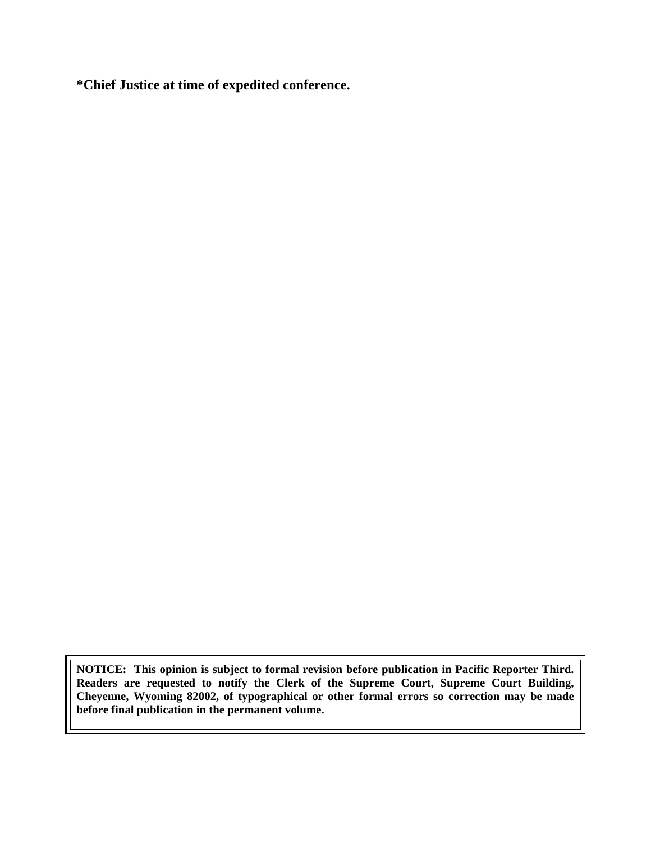**\*Chief Justice at time of expedited conference.** 

**NOTICE: This opinion is subject to formal revision before publication in Pacific Reporter Third. Readers are requested to notify the Clerk of the Supreme Court, Supreme Court Building, Cheyenne, Wyoming 82002, of typographical or other formal errors so correction may be made before final publication in the permanent volume.**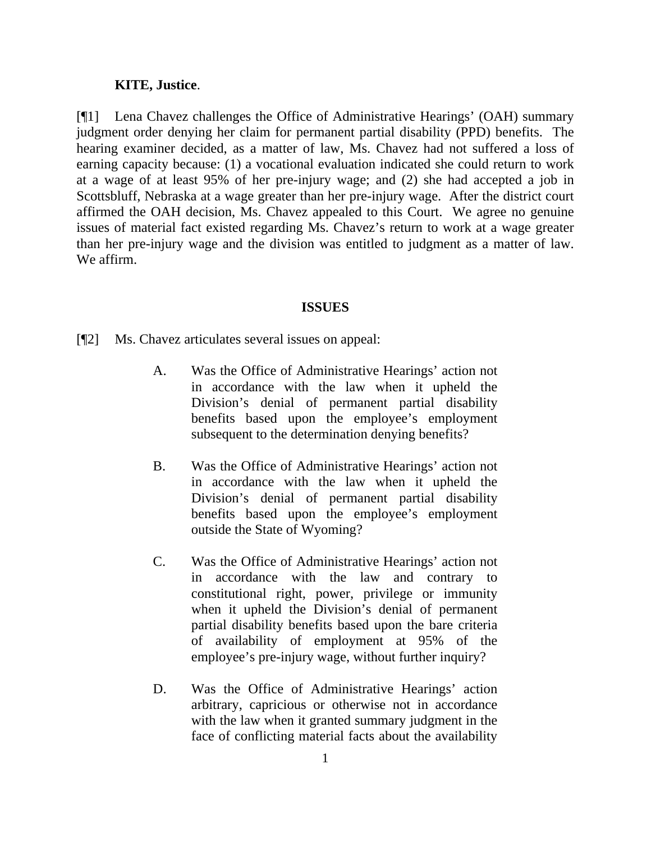### **KITE, Justice**.

[¶1] Lena Chavez challenges the Office of Administrative Hearings' (OAH) summary judgment order denying her claim for permanent partial disability (PPD) benefits. The hearing examiner decided, as a matter of law, Ms. Chavez had not suffered a loss of earning capacity because: (1) a vocational evaluation indicated she could return to work at a wage of at least 95% of her pre-injury wage; and (2) she had accepted a job in Scottsbluff, Nebraska at a wage greater than her pre-injury wage. After the district court affirmed the OAH decision, Ms. Chavez appealed to this Court. We agree no genuine issues of material fact existed regarding Ms. Chavez's return to work at a wage greater than her pre-injury wage and the division was entitled to judgment as a matter of law. We affirm.

#### **ISSUES**

[¶2] Ms. Chavez articulates several issues on appeal:

- A. Was the Office of Administrative Hearings' action not in accordance with the law when it upheld the Division's denial of permanent partial disability benefits based upon the employee's employment subsequent to the determination denying benefits?
- B. Was the Office of Administrative Hearings' action not in accordance with the law when it upheld the Division's denial of permanent partial disability benefits based upon the employee's employment outside the State of Wyoming?
- C. Was the Office of Administrative Hearings' action not in accordance with the law and contrary to constitutional right, power, privilege or immunity when it upheld the Division's denial of permanent partial disability benefits based upon the bare criteria of availability of employment at 95% of the employee's pre-injury wage, without further inquiry?
- D. Was the Office of Administrative Hearings' action arbitrary, capricious or otherwise not in accordance with the law when it granted summary judgment in the face of conflicting material facts about the availability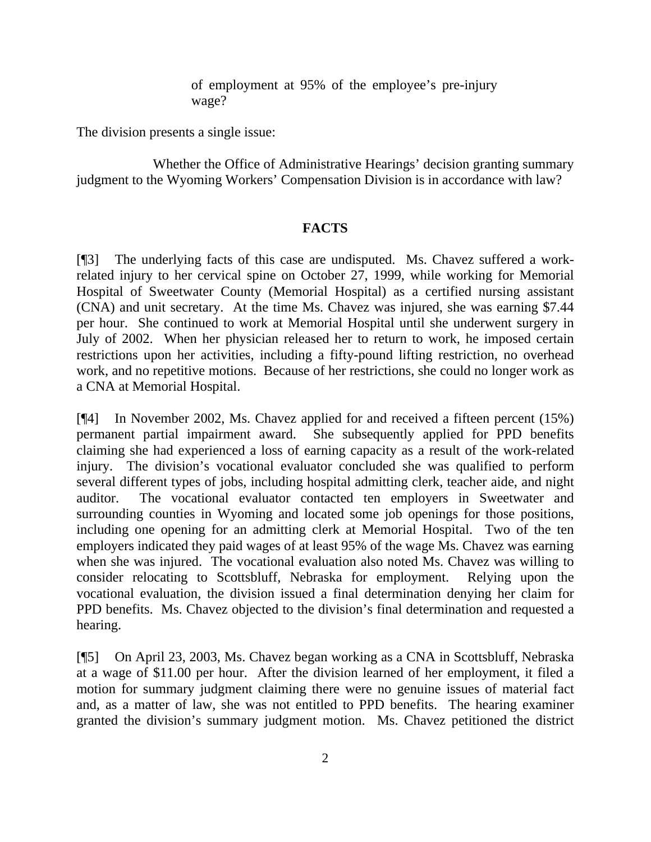of employment at 95% of the employee's pre-injury wage?

The division presents a single issue:

 Whether the Office of Administrative Hearings' decision granting summary judgment to the Wyoming Workers' Compensation Division is in accordance with law?

### **FACTS**

[¶3] The underlying facts of this case are undisputed. Ms. Chavez suffered a workrelated injury to her cervical spine on October 27, 1999, while working for Memorial Hospital of Sweetwater County (Memorial Hospital) as a certified nursing assistant (CNA) and unit secretary. At the time Ms. Chavez was injured, she was earning \$7.44 per hour. She continued to work at Memorial Hospital until she underwent surgery in July of 2002. When her physician released her to return to work, he imposed certain restrictions upon her activities, including a fifty-pound lifting restriction, no overhead work, and no repetitive motions. Because of her restrictions, she could no longer work as a CNA at Memorial Hospital.

[¶4] In November 2002, Ms. Chavez applied for and received a fifteen percent (15%) permanent partial impairment award. She subsequently applied for PPD benefits claiming she had experienced a loss of earning capacity as a result of the work-related injury. The division's vocational evaluator concluded she was qualified to perform several different types of jobs, including hospital admitting clerk, teacher aide, and night auditor. The vocational evaluator contacted ten employers in Sweetwater and surrounding counties in Wyoming and located some job openings for those positions, including one opening for an admitting clerk at Memorial Hospital. Two of the ten employers indicated they paid wages of at least 95% of the wage Ms. Chavez was earning when she was injured. The vocational evaluation also noted Ms. Chavez was willing to consider relocating to Scottsbluff, Nebraska for employment. Relying upon the vocational evaluation, the division issued a final determination denying her claim for PPD benefits. Ms. Chavez objected to the division's final determination and requested a hearing.

[¶5] On April 23, 2003, Ms. Chavez began working as a CNA in Scottsbluff, Nebraska at a wage of \$11.00 per hour. After the division learned of her employment, it filed a motion for summary judgment claiming there were no genuine issues of material fact and, as a matter of law, she was not entitled to PPD benefits. The hearing examiner granted the division's summary judgment motion. Ms. Chavez petitioned the district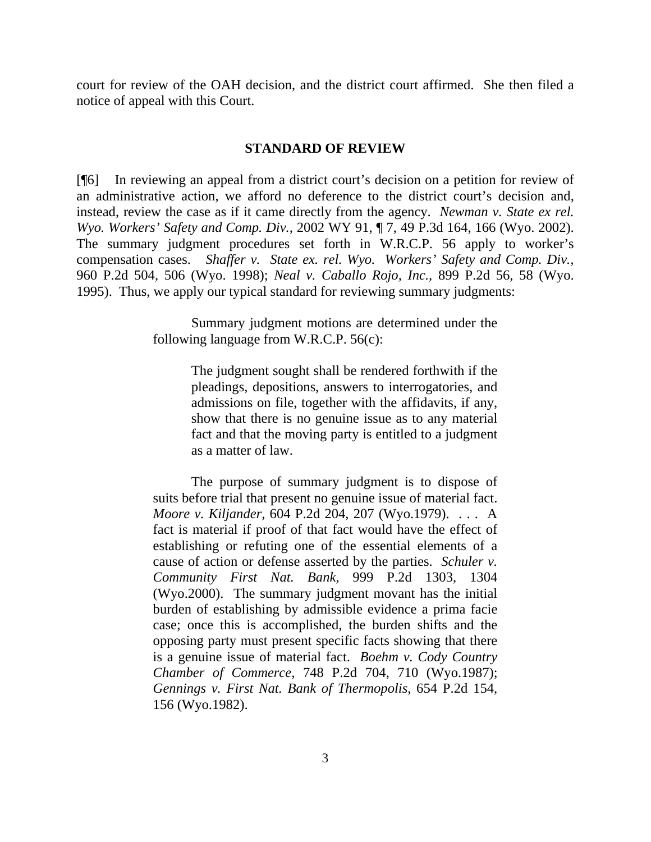court for review of the OAH decision, and the district court affirmed. She then filed a notice of appeal with this Court.

### **STANDARD OF REVIEW**

[¶6] In reviewing an appeal from a district court's decision on a petition for review of an administrative action, we afford no deference to the district court's decision and, instead, review the case as if it came directly from the agency. *Newman v. State ex rel. Wyo. Workers' Safety and Comp. Div.,* 2002 WY 91, ¶ 7, 49 P.3d 164, 166 (Wyo. 2002). The summary judgment procedures set forth in W.R.C.P. 56 apply to worker's compensation cases. *Shaffer v. State ex. rel. Wyo. Workers' Safety and Comp. Div.,*  960 P.2d 504, 506 (Wyo. 1998); *Neal v. Caballo Rojo, Inc.,* 899 P.2d 56, 58 (Wyo. 1995). Thus, we apply our typical standard for reviewing summary judgments:

> Summary judgment motions are determined under the following language from W.R.C.P. 56(c):

> > The judgment sought shall be rendered forthwith if the pleadings, depositions, answers to interrogatories, and admissions on file, together with the affidavits, if any, show that there is no genuine issue as to any material fact and that the moving party is entitled to a judgment as a matter of law.

 The purpose of summary judgment is to dispose of suits before trial that present no genuine issue of material fact. *Moore v. Kiljander*, 604 P.2d 204, 207 (Wyo.1979). . . . A fact is material if proof of that fact would have the effect of establishing or refuting one of the essential elements of a cause of action or defense asserted by the parties. *Schuler v. Community First Nat. Bank*, 999 P.2d 1303, 1304 (Wyo.2000). The summary judgment movant has the initial burden of establishing by admissible evidence a prima facie case; once this is accomplished, the burden shifts and the opposing party must present specific facts showing that there is a genuine issue of material fact. *Boehm v. Cody Country Chamber of Commerce*, 748 P.2d 704, 710 (Wyo.1987); *Gennings v. First Nat. Bank of Thermopolis*, 654 P.2d 154, 156 (Wyo.1982).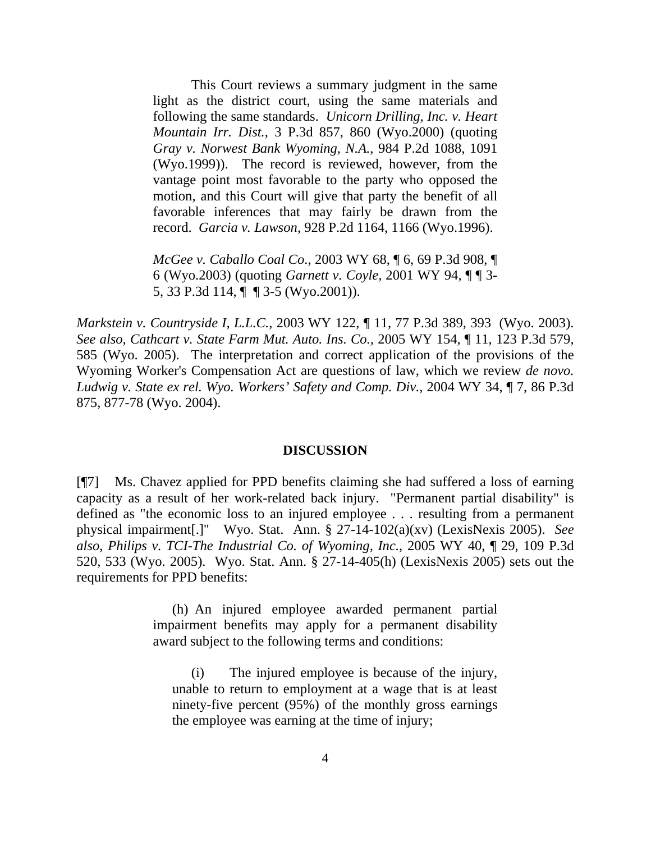This Court reviews a summary judgment in the same light as the district court, using the same materials and following the same standards. *Unicorn Drilling, Inc. v. Heart Mountain Irr. Dist.*, 3 P.3d 857, 860 (Wyo.2000) (quoting *Gray v. Norwest Bank Wyoming, N.A.*, 984 P.2d 1088, 1091 (Wyo.1999)). The record is reviewed, however, from the vantage point most favorable to the party who opposed the motion, and this Court will give that party the benefit of all favorable inferences that may fairly be drawn from the record. *Garcia v. Lawson*, 928 P.2d 1164, 1166 (Wyo.1996).

*McGee v. Caballo Coal Co*., 2003 WY 68, ¶ 6, 69 P.3d 908, ¶ 6 (Wyo.2003) (quoting *Garnett v. Coyle*, 2001 WY 94, ¶ ¶ 3- 5, 33 P.3d 114, ¶ ¶ 3-5 (Wyo.2001)).

*Markstein v. Countryside I, L.L.C.*, 2003 WY 122, ¶ 11, 77 P.3d 389, 393 (Wyo. 2003). *See also*, *Cathcart v. State Farm Mut. Auto. Ins. Co.,* 2005 WY 154, ¶ 11, 123 P.3d 579, 585 (Wyo. 2005). The interpretation and correct application of the provisions of the Wyoming Worker's Compensation Act are questions of law, which we review *de novo. Ludwig v. State ex rel. Wyo. Workers' Safety and Comp. Div.,* 2004 WY 34, ¶ 7, 86 P.3d 875, 877-78 (Wyo. 2004).

#### **DISCUSSION**

[¶7] Ms. Chavez applied for PPD benefits claiming she had suffered a loss of earning capacity as a result of her work-related back injury. "Permanent partial disability" is defined as "the economic loss to an injured employee . . . resulting from a permanent physical impairment[.]" Wyo. Stat. Ann. § 27-14-102(a)(xv) (LexisNexis 2005). *See also*, *Philips v. TCI-The Industrial Co. of Wyoming, Inc.,* 2005 WY 40, ¶ 29, 109 P.3d 520, 533 (Wyo. 2005). Wyo. Stat. Ann. § 27-14-405(h) (LexisNexis 2005) sets out the requirements for PPD benefits:

> (h) An injured employee awarded permanent partial impairment benefits may apply for a permanent disability award subject to the following terms and conditions:

(i) The injured employee is because of the injury, unable to return to employment at a wage that is at least ninety-five percent (95%) of the monthly gross earnings the employee was earning at the time of injury;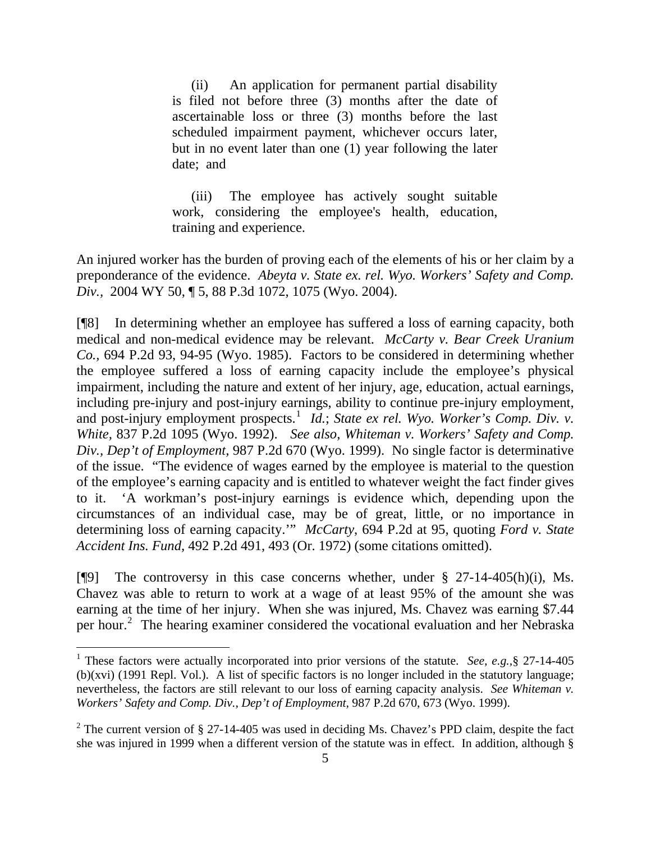(ii) An application for permanent partial disability is filed not before three (3) months after the date of ascertainable loss or three (3) months before the last scheduled impairment payment, whichever occurs later, but in no event later than one (1) year following the later date; and

(iii) The employee has actively sought suitable work, considering the employee's health, education, training and experience.

An injured worker has the burden of proving each of the elements of his or her claim by a preponderance of the evidence. *Abeyta v. State ex. rel. Wyo. Workers' Safety and Comp. Div.,* 2004 WY 50, ¶ 5, 88 P.3d 1072, 1075 (Wyo. 2004).

[¶8] In determining whether an employee has suffered a loss of earning capacity, both medical and non-medical evidence may be relevant. *McCarty v. Bear Creek Uranium Co.,* 694 P.2d 93, 94-95 (Wyo. 1985). Factors to be considered in determining whether the employee suffered a loss of earning capacity include the employee's physical impairment, including the nature and extent of her injury, age, education, actual earnings, including pre-injury and post-injury earnings, ability to continue pre-injury employment, and post-injury employment prospects.<sup>[1](#page-6-0)</sup> *Id.*; *State ex rel. Wyo. Worker's Comp. Div. v. White,* 837 P.2d 1095 (Wyo. 1992). *See also*, *Whiteman v. Workers' Safety and Comp. Div., Dep't of Employment,* 987 P.2d 670 (Wyo. 1999). No single factor is determinative of the issue. "The evidence of wages earned by the employee is material to the question of the employee's earning capacity and is entitled to whatever weight the fact finder gives to it. 'A workman's post-injury earnings is evidence which, depending upon the circumstances of an individual case, may be of great, little, or no importance in determining loss of earning capacity.'" *McCarty*, 694 P.2d at 95*,* quoting *Ford v. State Accident Ins. Fund,* 492 P.2d 491, 493 (Or. 1972) (some citations omitted).

[ $[$ [9] The controversy in this case concerns whether, under  $\S$  27-14-405(h)(i), Ms. Chavez was able to return to work at a wage of at least 95% of the amount she was earning at the time of her injury. When she was injured, Ms. Chavez was earning \$7.44 per hour.<sup>[2](#page-6-1)</sup> The hearing examiner considered the vocational evaluation and her Nebraska

<span id="page-6-0"></span><sup>&</sup>lt;sup>1</sup> These factors were actually incorporated into prior versions of the statute. *See, e.g.*, § 27-14-405 (b)(xvi) (1991 Repl. Vol.). A list of specific factors is no longer included in the statutory language; nevertheless, the factors are still relevant to our loss of earning capacity analysis. *See Whiteman v. Workers' Safety and Comp. Div., Dep't of Employment,* 987 P.2d 670, 673 (Wyo. 1999).

<span id="page-6-1"></span><sup>&</sup>lt;sup>2</sup> The current version of § 27-14-405 was used in deciding Ms. Chavez's PPD claim, despite the fact she was injured in 1999 when a different version of the statute was in effect. In addition, although §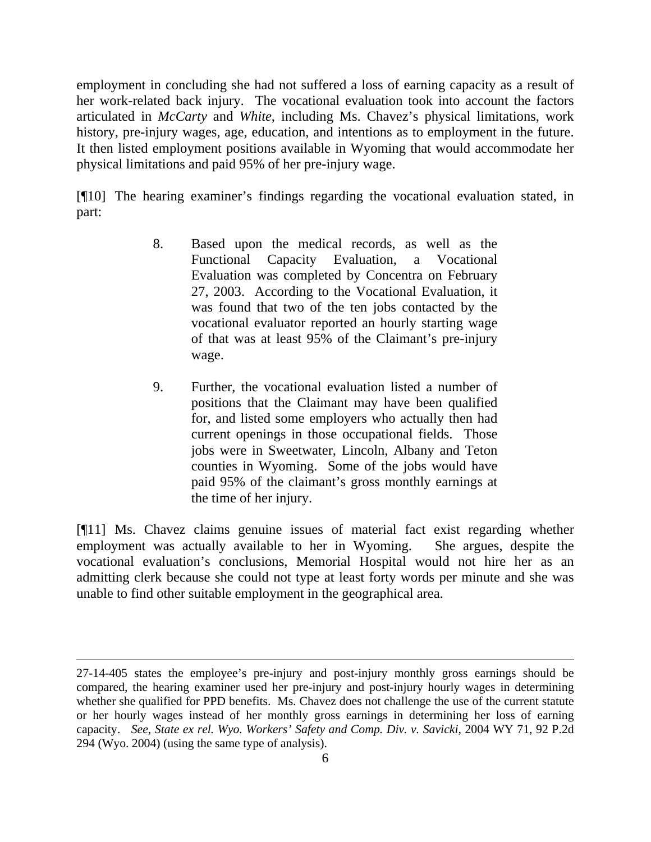employment in concluding she had not suffered a loss of earning capacity as a result of her work-related back injury. The vocational evaluation took into account the factors articulated in *McCarty* and *White*, including Ms. Chavez's physical limitations, work history, pre-injury wages, age, education, and intentions as to employment in the future. It then listed employment positions available in Wyoming that would accommodate her physical limitations and paid 95% of her pre-injury wage.

[¶10] The hearing examiner's findings regarding the vocational evaluation stated, in part:

- 8. Based upon the medical records, as well as the Functional Capacity Evaluation, a Vocational Evaluation was completed by Concentra on February 27, 2003. According to the Vocational Evaluation, it was found that two of the ten jobs contacted by the vocational evaluator reported an hourly starting wage of that was at least 95% of the Claimant's pre-injury wage.
- 9. Further, the vocational evaluation listed a number of positions that the Claimant may have been qualified for, and listed some employers who actually then had current openings in those occupational fields. Those jobs were in Sweetwater, Lincoln, Albany and Teton counties in Wyoming. Some of the jobs would have paid 95% of the claimant's gross monthly earnings at the time of her injury.

[¶11] Ms. Chavez claims genuine issues of material fact exist regarding whether employment was actually available to her in Wyoming. She argues, despite the vocational evaluation's conclusions, Memorial Hospital would not hire her as an admitting clerk because she could not type at least forty words per minute and she was unable to find other suitable employment in the geographical area.

l

<sup>27-14-405</sup> states the employee's pre-injury and post-injury monthly gross earnings should be compared, the hearing examiner used her pre-injury and post-injury hourly wages in determining whether she qualified for PPD benefits. Ms. Chavez does not challenge the use of the current statute or her hourly wages instead of her monthly gross earnings in determining her loss of earning capacity. *See*, *State ex rel. Wyo. Workers' Safety and Comp. Div. v. Savicki,* 2004 WY 71, 92 P.2d 294 (Wyo. 2004) (using the same type of analysis).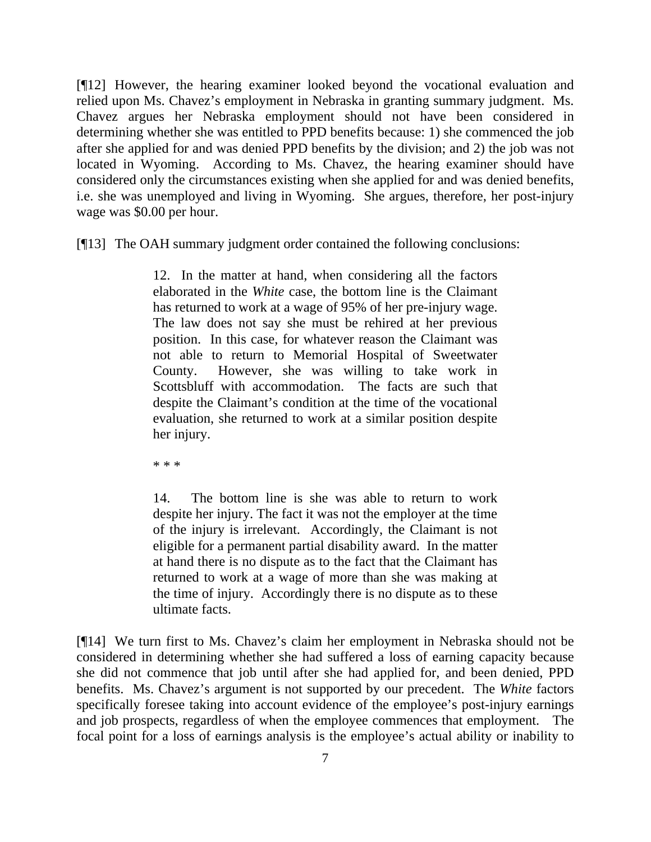[¶12] However, the hearing examiner looked beyond the vocational evaluation and relied upon Ms. Chavez's employment in Nebraska in granting summary judgment. Ms. Chavez argues her Nebraska employment should not have been considered in determining whether she was entitled to PPD benefits because: 1) she commenced the job after she applied for and was denied PPD benefits by the division; and 2) the job was not located in Wyoming. According to Ms. Chavez, the hearing examiner should have considered only the circumstances existing when she applied for and was denied benefits, i.e. she was unemployed and living in Wyoming. She argues, therefore, her post-injury wage was \$0.00 per hour.

[¶13] The OAH summary judgment order contained the following conclusions:

12. In the matter at hand, when considering all the factors elaborated in the *White* case, the bottom line is the Claimant has returned to work at a wage of 95% of her pre-injury wage. The law does not say she must be rehired at her previous position. In this case, for whatever reason the Claimant was not able to return to Memorial Hospital of Sweetwater County. However, she was willing to take work in Scottsbluff with accommodation. The facts are such that despite the Claimant's condition at the time of the vocational evaluation, she returned to work at a similar position despite her injury.

\* \* \*

14. The bottom line is she was able to return to work despite her injury. The fact it was not the employer at the time of the injury is irrelevant. Accordingly, the Claimant is not eligible for a permanent partial disability award. In the matter at hand there is no dispute as to the fact that the Claimant has returned to work at a wage of more than she was making at the time of injury. Accordingly there is no dispute as to these ultimate facts.

[¶14] We turn first to Ms. Chavez's claim her employment in Nebraska should not be considered in determining whether she had suffered a loss of earning capacity because she did not commence that job until after she had applied for, and been denied, PPD benefits. Ms. Chavez's argument is not supported by our precedent. The *White* factors specifically foresee taking into account evidence of the employee's post-injury earnings and job prospects, regardless of when the employee commences that employment. The focal point for a loss of earnings analysis is the employee's actual ability or inability to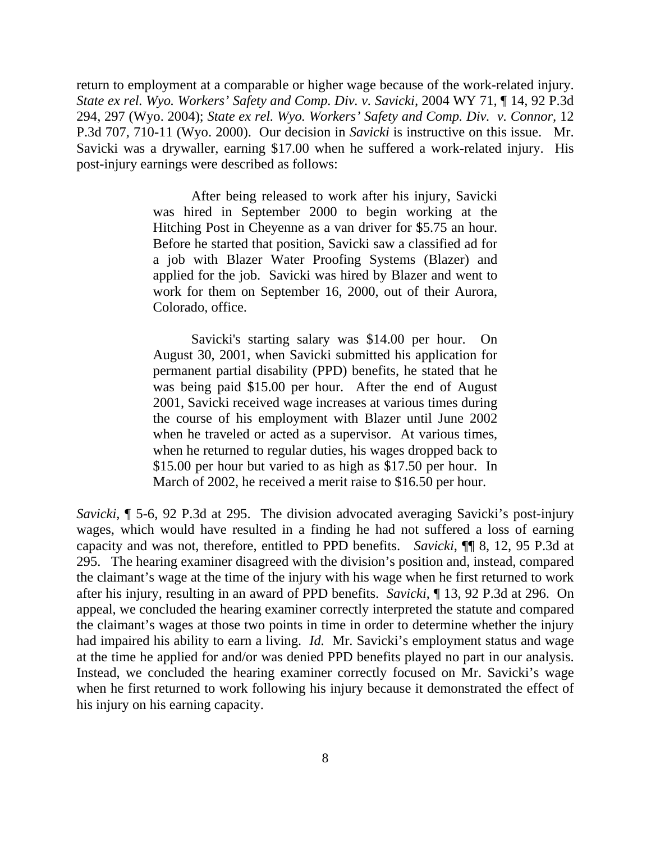return to employment at a comparable or higher wage because of the work-related injury. *State ex rel. Wyo. Workers' Safety and Comp. Div. v. Savicki,* 2004 WY 71*,* ¶ 14, 92 P.3d 294, 297 (Wyo. 2004); *State ex rel. Wyo. Workers' Safety and Comp. Div. v. Connor,* 12 P.3d 707, 710-11 (Wyo. 2000). Our decision in *Savicki* is instructive on this issue. Mr. Savicki was a drywaller, earning \$17.00 when he suffered a work-related injury. His post-injury earnings were described as follows:

> After being released to work after his injury, Savicki was hired in September 2000 to begin working at the Hitching Post in Cheyenne as a van driver for \$5.75 an hour. Before he started that position, Savicki saw a classified ad for a job with Blazer Water Proofing Systems (Blazer) and applied for the job. Savicki was hired by Blazer and went to work for them on September 16, 2000, out of their Aurora, Colorado, office.

> Savicki's starting salary was \$14.00 per hour. On August 30, 2001, when Savicki submitted his application for permanent partial disability (PPD) benefits, he stated that he was being paid \$15.00 per hour. After the end of August 2001, Savicki received wage increases at various times during the course of his employment with Blazer until June 2002 when he traveled or acted as a supervisor. At various times, when he returned to regular duties, his wages dropped back to \$15.00 per hour but varied to as high as \$17.50 per hour. In March of 2002, he received a merit raise to \$16.50 per hour.

*Savicki,* ¶ 5-6, 92 P.3d at 295. The division advocated averaging Savicki's post-injury wages, which would have resulted in a finding he had not suffered a loss of earning capacity and was not, therefore, entitled to PPD benefits. *Savicki*, ¶¶ 8, 12, 95 P.3d at 295. The hearing examiner disagreed with the division's position and, instead, compared the claimant's wage at the time of the injury with his wage when he first returned to work after his injury, resulting in an award of PPD benefits. *Savicki*, ¶ 13, 92 P.3d at 296.On appeal, we concluded the hearing examiner correctly interpreted the statute and compared the claimant's wages at those two points in time in order to determine whether the injury had impaired his ability to earn a living. *Id.* Mr. Savicki's employment status and wage at the time he applied for and/or was denied PPD benefits played no part in our analysis. Instead, we concluded the hearing examiner correctly focused on Mr. Savicki's wage when he first returned to work following his injury because it demonstrated the effect of his injury on his earning capacity.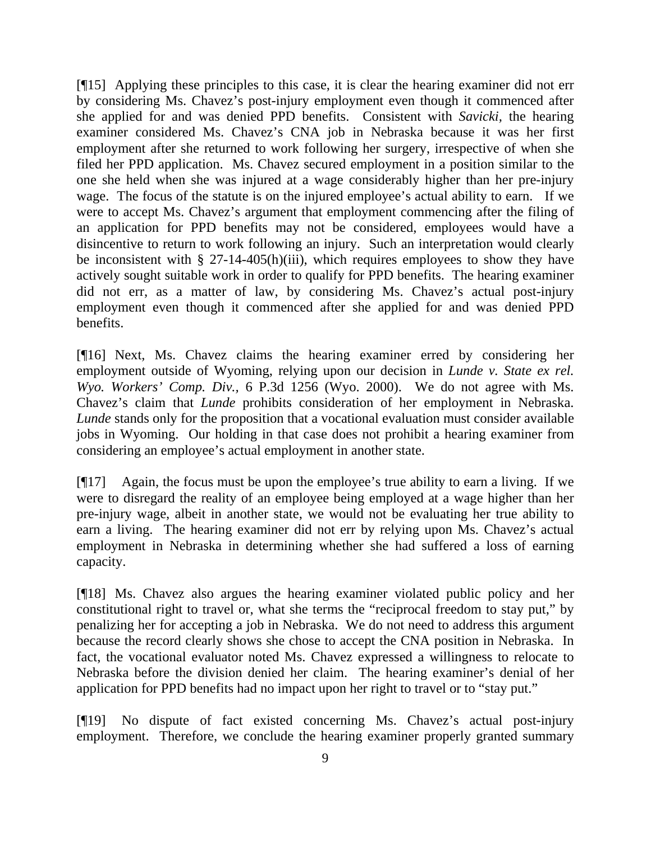[¶15] Applying these principles to this case, it is clear the hearing examiner did not err by considering Ms. Chavez's post-injury employment even though it commenced after she applied for and was denied PPD benefits. Consistent with *Savicki,* the hearing examiner considered Ms. Chavez's CNA job in Nebraska because it was her first employment after she returned to work following her surgery, irrespective of when she filed her PPD application. Ms. Chavez secured employment in a position similar to the one she held when she was injured at a wage considerably higher than her pre-injury wage. The focus of the statute is on the injured employee's actual ability to earn. If we were to accept Ms. Chavez's argument that employment commencing after the filing of an application for PPD benefits may not be considered, employees would have a disincentive to return to work following an injury. Such an interpretation would clearly be inconsistent with § 27-14-405(h)(iii), which requires employees to show they have actively sought suitable work in order to qualify for PPD benefits. The hearing examiner did not err, as a matter of law, by considering Ms. Chavez's actual post-injury employment even though it commenced after she applied for and was denied PPD benefits.

[¶16] Next, Ms. Chavez claims the hearing examiner erred by considering her employment outside of Wyoming, relying upon our decision in *Lunde v. State ex rel. Wyo. Workers' Comp. Div.,* 6 P.3d 1256 (Wyo. 2000). We do not agree with Ms. Chavez's claim that *Lunde* prohibits consideration of her employment in Nebraska. *Lunde* stands only for the proposition that a vocational evaluation must consider available jobs in Wyoming. Our holding in that case does not prohibit a hearing examiner from considering an employee's actual employment in another state.

[¶17] Again, the focus must be upon the employee's true ability to earn a living. If we were to disregard the reality of an employee being employed at a wage higher than her pre-injury wage, albeit in another state, we would not be evaluating her true ability to earn a living. The hearing examiner did not err by relying upon Ms. Chavez's actual employment in Nebraska in determining whether she had suffered a loss of earning capacity.

[¶18] Ms. Chavez also argues the hearing examiner violated public policy and her constitutional right to travel or, what she terms the "reciprocal freedom to stay put," by penalizing her for accepting a job in Nebraska. We do not need to address this argument because the record clearly shows she chose to accept the CNA position in Nebraska. In fact, the vocational evaluator noted Ms. Chavez expressed a willingness to relocate to Nebraska before the division denied her claim. The hearing examiner's denial of her application for PPD benefits had no impact upon her right to travel or to "stay put."

[¶19] No dispute of fact existed concerning Ms. Chavez's actual post-injury employment. Therefore, we conclude the hearing examiner properly granted summary